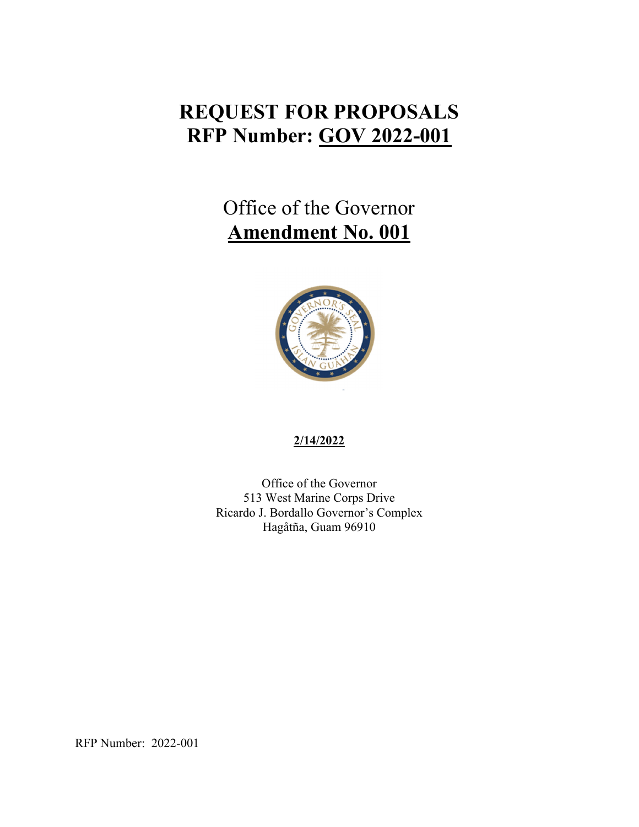## **REQUEST FOR PROPOSALS RFP Number: GOV 2022-001**

## Office of the Governor **Amendment No. 001**



## **2/14/2022**

Office of the Governor 513 West Marine Corps Drive Ricardo J. Bordallo Governor's Complex Hagåtña, Guam 96910

RFP Number: 2022-001